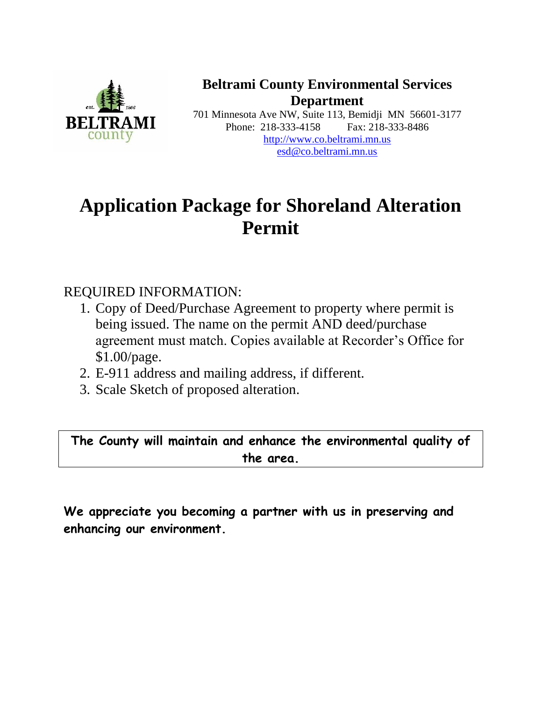

**Beltrami County Environmental Services Department**

701 Minnesota Ave NW, Suite 113, Bemidji MN 56601-3177 Phone: 218-333-4158 Fax: 218-333-8486 [http://www.co.beltrami.mn.us](http://www.co.beltrami.mn.us/) esd@co.beltrami.mn.us

## **Application Package for Shoreland Alteration Permit**

## REQUIRED INFORMATION:

- 1. Copy of Deed/Purchase Agreement to property where permit is being issued. The name on the permit AND deed/purchase agreement must match. Copies available at Recorder's Office for \$1.00/page.
- 2. E-911 address and mailing address, if different.
- 3. Scale Sketch of proposed alteration.

**The County will maintain and enhance the environmental quality of the area.**

**We appreciate you becoming a partner with us in preserving and enhancing our environment.**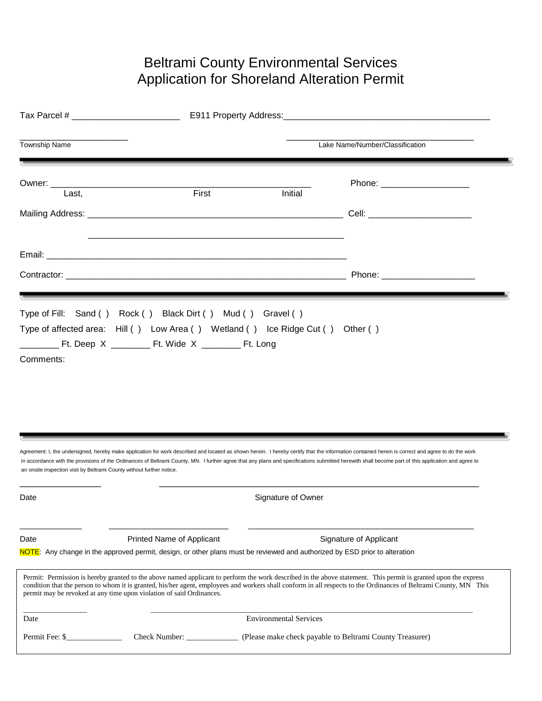## Beltrami County Environmental Services Application for Shoreland Alteration Permit

| Tax Parcel # ________________________                                 |                                                                                                                            |                                                          |                                                                                                                                                                                                                                                                                                                                                                                                          |  |
|-----------------------------------------------------------------------|----------------------------------------------------------------------------------------------------------------------------|----------------------------------------------------------|----------------------------------------------------------------------------------------------------------------------------------------------------------------------------------------------------------------------------------------------------------------------------------------------------------------------------------------------------------------------------------------------------------|--|
| <b>Township Name</b>                                                  |                                                                                                                            | Lake Name/Number/Classification                          |                                                                                                                                                                                                                                                                                                                                                                                                          |  |
| Last,                                                                 | First                                                                                                                      | Initial                                                  | Phone: ______________________                                                                                                                                                                                                                                                                                                                                                                            |  |
|                                                                       |                                                                                                                            |                                                          |                                                                                                                                                                                                                                                                                                                                                                                                          |  |
|                                                                       |                                                                                                                            |                                                          |                                                                                                                                                                                                                                                                                                                                                                                                          |  |
|                                                                       |                                                                                                                            |                                                          | Phone: _______________________                                                                                                                                                                                                                                                                                                                                                                           |  |
|                                                                       |                                                                                                                            |                                                          |                                                                                                                                                                                                                                                                                                                                                                                                          |  |
| an onsite inspection visit by Beltrami County without further notice. |                                                                                                                            |                                                          | Agreement: I, the undersigned, hereby make application for work described and located as shown herein. I hereby certify that the information contained herein is correct and agree to do the work<br>in accordance with the provisions of the Ordinances of Beltrami County, MN. I further agree that any plans and specifications submitted herewith shall become part of this application and agree to |  |
| Date                                                                  |                                                                                                                            | Signature of Owner                                       |                                                                                                                                                                                                                                                                                                                                                                                                          |  |
| Date                                                                  | Printed Name of Applicant                                                                                                  |                                                          | Signature of Applicant                                                                                                                                                                                                                                                                                                                                                                                   |  |
|                                                                       | NOTE: Any change in the approved permit, design, or other plans must be reviewed and authorized by ESD prior to alteration |                                                          |                                                                                                                                                                                                                                                                                                                                                                                                          |  |
|                                                                       | permit may be revoked at any time upon violation of said Ordinances.                                                       |                                                          | Permit: Permission is hereby granted to the above named applicant to perform the work described in the above statement. This permit is granted upon the express<br>condition that the person to whom it is granted, his/her agent, employees and workers shall conform in all respects to the Ordinances of Beltrami County, MN This                                                                     |  |
| Date                                                                  |                                                                                                                            | <b>Environmental Services</b>                            |                                                                                                                                                                                                                                                                                                                                                                                                          |  |
| Permit Fee: \$                                                        | Check Number:                                                                                                              | (Please make check payable to Beltrami County Treasurer) |                                                                                                                                                                                                                                                                                                                                                                                                          |  |